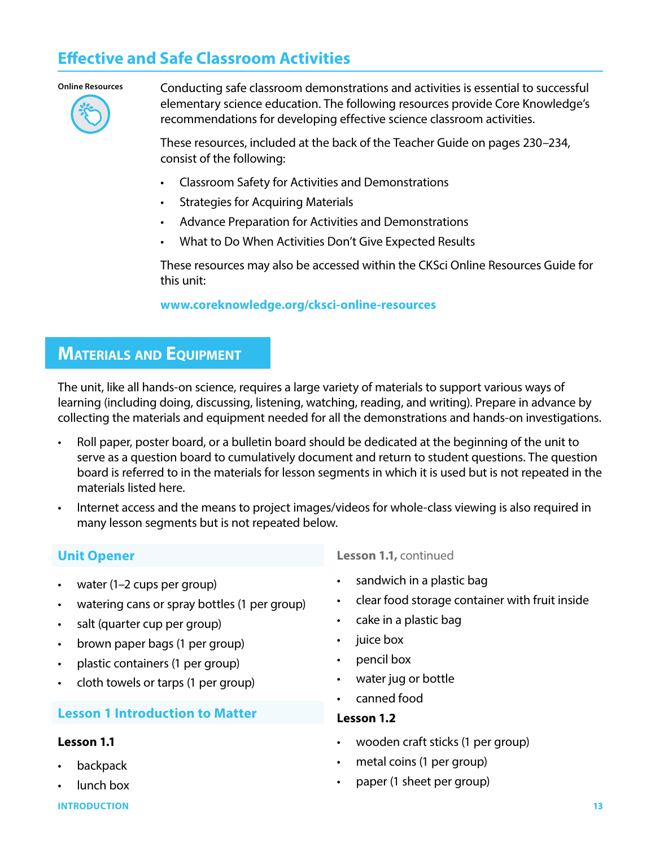# **Effective and Safe Classroom Activities**

#### **Online Resources**



Conducting safe classroom demonstrations and activities is essential to successful elementary science education. The following resources provide Core Knowledge's recommendations for developing effective science classroom activities.

These resources, included at the back of the Teacher Guide on pages 230–234, consist of the following:

- Classroom Safety for Activities and Demonstrations
- **Strategies for Acquiring Materials**
- Advance Preparation for Activities and Demonstrations
- What to Do When Activities Don't Give Expected Results

These resources may also be accessed within the CKSci Online Resources Guide for this unit:

**www.coreknowledge.org/cksci-online-resources**

## **MATERIALS AND EQUIPMENT**

The unit, like all hands-on science, requires a large variety of materials to support various ways of learning (including doing, discussing, listening, watching, reading, and writing). Prepare in advance by collecting the materials and equipment needed for all the demonstrations and hands-on investigations.

- Roll paper, poster board, or a bulletin board should be dedicated at the beginning of the unit to serve as a question board to cumulatively document and return to student questions. The question board is referred to in the materials for lesson segments in which it is used but is not repeated in the materials listed here.
- Internet access and the means to project images/videos for whole-class viewing is also required in many lesson segments but is not repeated below.

### **Unit Opener**

- water (1-2 cups per group)
- watering cans or spray bottles (1 per group)
- salt (quarter cup per group)
- brown paper bags (1 per group)
- plastic containers (1 per group)
- cloth towels or tarps (1 per group)

### **Lesson 1 Introduction to Matter**

#### **Lesson 1.1**

- **backpack**
- lunch box

**INTRODUCTION 13**

**Lesson 1.1,** continued

- sandwich in a plastic bag
- clear food storage container with fruit inside
- cake in a plastic bag
- juice box
- pencil box
- water jug or bottle
- canned food

#### **Lesson 1.2**

- wooden craft sticks (1 per group)
- metal coins (1 per group)
- paper (1 sheet per group)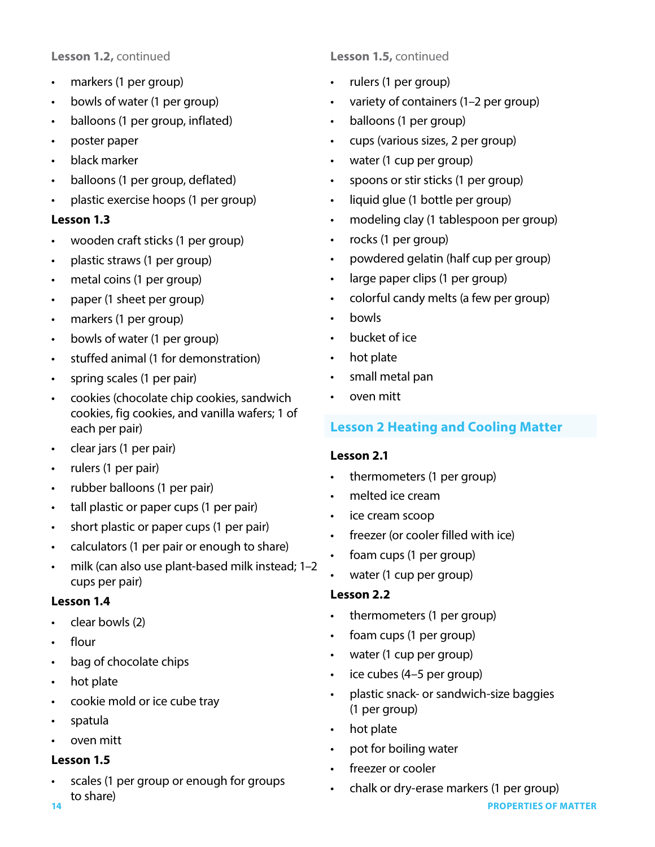### **Lesson 1.2,** continued

- markers (1 per group)
- bowls of water (1 per group)
- balloons (1 per group, inflated)
- poster paper
- black marker
- balloons (1 per group, deflated)
- plastic exercise hoops (1 per group)

### **Lesson 1.3**

- wooden craft sticks (1 per group)
- plastic straws (1 per group)
- metal coins (1 per group)
- paper (1 sheet per group)
- markers (1 per group)
- bowls of water (1 per group)
- stuffed animal (1 for demonstration)
- spring scales (1 per pair)
- cookies (chocolate chip cookies, sandwich cookies, fig cookies, and vanilla wafers; 1 of each per pair)
- clear jars (1 per pair)
- rulers (1 per pair)
- rubber balloons (1 per pair)
- tall plastic or paper cups (1 per pair)
- short plastic or paper cups (1 per pair)
- calculators (1 per pair or enough to share)
- milk (can also use plant-based milk instead; 1–2 cups per pair)

#### **Lesson 1.4**

- clear bowls (2)
- flour
- bag of chocolate chips
- hot plate
- cookie mold or ice cube tray
- spatula
- oven mitt

#### **Lesson 1.5**

**14 PROPERTIES OF MATTER** scales (1 per group or enough for groups to share)

### **Lesson 1.5,** continued

- rulers (1 per group)
- variety of containers (1–2 per group)
- balloons (1 per group)
- cups (various sizes, 2 per group)
- water (1 cup per group)
- spoons or stir sticks (1 per group)
- liquid glue (1 bottle per group)
- modeling clay (1 tablespoon per group)
- rocks (1 per group)
- powdered gelatin (half cup per group)
- large paper clips (1 per group)
- colorful candy melts (a few per group)
- bowls
- bucket of ice
- hot plate
- small metal pan
- oven mitt

### **Lesson 2 Heating and Cooling Matter**

#### **Lesson 2.1**

- thermometers (1 per group)
- melted ice cream
- ice cream scoop
- freezer (or cooler filled with ice)
- foam cups (1 per group)
- water (1 cup per group)

#### **Lesson 2.2**

- thermometers (1 per group)
- foam cups (1 per group)
- water (1 cup per group)
- ice cubes (4–5 per group)
- plastic snack- or sandwich-size baggies (1 per group)
- hot plate
- pot for boiling water
- freezer or cooler
- chalk or dry-erase markers (1 per group)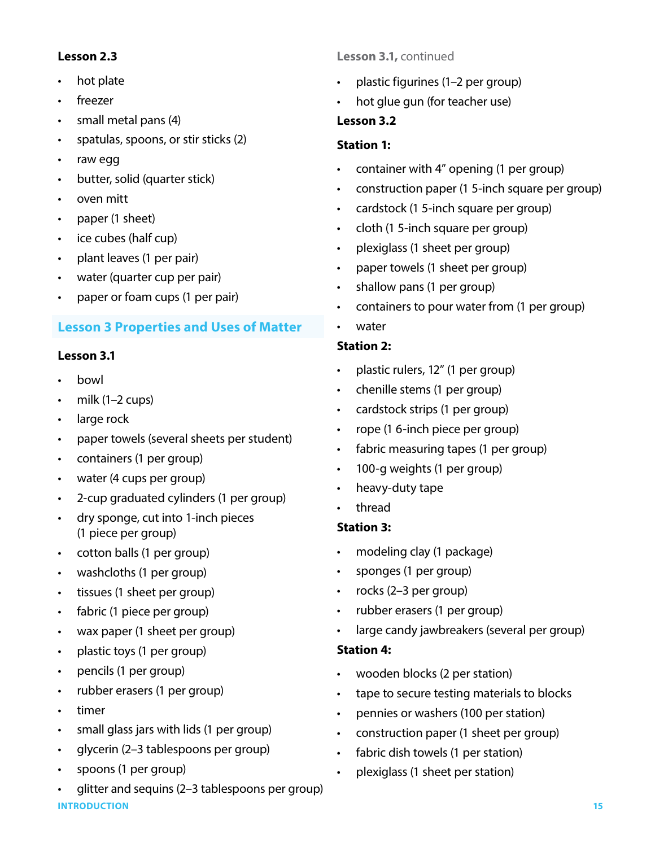#### **Lesson 2.3**

- hot plate
- freezer
- small metal pans (4)
- spatulas, spoons, or stir sticks (2)
- raw egg
- butter, solid (quarter stick)
- oven mitt
- paper (1 sheet)
- ice cubes (half cup)
- plant leaves (1 per pair)
- water (quarter cup per pair)
- paper or foam cups (1 per pair)

### **Lesson 3 Properties and Uses of Matter**

# **Lesson 3.1**

- bowl
- milk  $(1-2 \text{ cups})$
- large rock
- paper towels (several sheets per student)
- containers (1 per group)
- water (4 cups per group)
- 2-cup graduated cylinders (1 per group)
- dry sponge, cut into 1-inch pieces (1 piece per group)
- cotton balls (1 per group)
- washcloths (1 per group)
- tissues (1 sheet per group)
- fabric (1 piece per group)
- wax paper (1 sheet per group)
- plastic toys (1 per group)
- pencils (1 per group)
- rubber erasers (1 per group)
- timer
- small glass jars with lids (1 per group)
- glycerin (2–3 tablespoons per group)
- spoons (1 per group)
- **INTRODUCTION 15** • glitter and sequins (2–3 tablespoons per group)

### **Lesson 3.1,** continued

- plastic figurines (1–2 per group)
- hot glue gun (for teacher use)

### **Lesson 3.2**

### **Station 1:**

- container with 4" opening (1 per group)
- construction paper (1 5-inch square per group)
- cardstock (1 5-inch square per group)
- cloth (1 5-inch square per group)
- plexiglass (1 sheet per group)
- paper towels (1 sheet per group)
- shallow pans (1 per group)
- containers to pour water from (1 per group)
- water

### **Station 2:**

- plastic rulers, 12" (1 per group)
- chenille stems (1 per group)
- cardstock strips (1 per group)
- rope (1 6-inch piece per group)
- fabric measuring tapes (1 per group)
- 100-g weights (1 per group)
- heavy-duty tape
- thread

### **Station 3:**

- modeling clay (1 package)
- sponges (1 per group)
- rocks (2–3 per group)
- rubber erasers (1 per group)
- large candy jawbreakers (several per group)

### **Station 4:**

- wooden blocks (2 per station)
- tape to secure testing materials to blocks
- pennies or washers (100 per station)
- construction paper (1 sheet per group)
- fabric dish towels (1 per station)
- plexiglass (1 sheet per station)